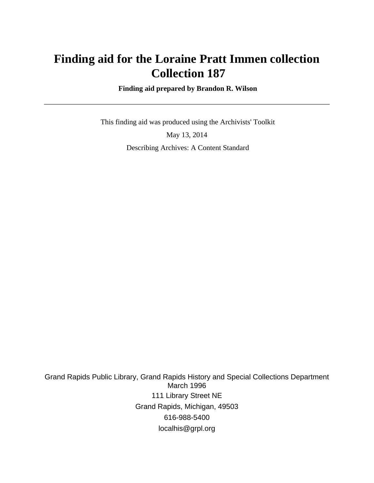# **Finding aid for the Loraine Pratt Immen collection Collection 187**

 **Finding aid prepared by Brandon R. Wilson**

 This finding aid was produced using the Archivists' Toolkit May 13, 2014 Describing Archives: A Content Standard

Grand Rapids Public Library, Grand Rapids History and Special Collections Department March 1996 111 Library Street NE Grand Rapids, Michigan, 49503 616-988-5400 localhis@grpl.org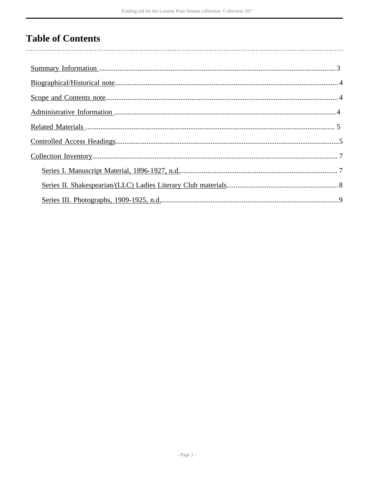# **Table of Contents**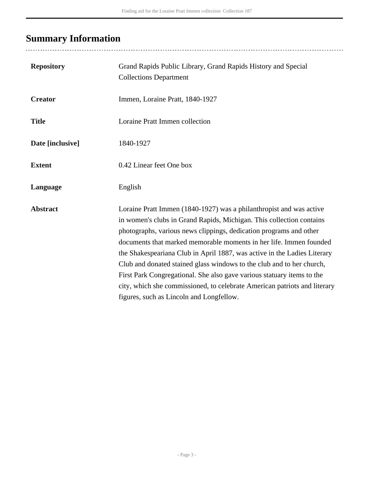# <span id="page-2-0"></span>**Summary Information**

| <b>Repository</b> | Grand Rapids Public Library, Grand Rapids History and Special<br><b>Collections Department</b>                                                                                                                                                                                                                                                                                                                                                                                                                                                                                                                                                  |
|-------------------|-------------------------------------------------------------------------------------------------------------------------------------------------------------------------------------------------------------------------------------------------------------------------------------------------------------------------------------------------------------------------------------------------------------------------------------------------------------------------------------------------------------------------------------------------------------------------------------------------------------------------------------------------|
| <b>Creator</b>    | Immen, Loraine Pratt, 1840-1927                                                                                                                                                                                                                                                                                                                                                                                                                                                                                                                                                                                                                 |
| <b>Title</b>      | Loraine Pratt Immen collection                                                                                                                                                                                                                                                                                                                                                                                                                                                                                                                                                                                                                  |
| Date [inclusive]  | 1840-1927                                                                                                                                                                                                                                                                                                                                                                                                                                                                                                                                                                                                                                       |
| <b>Extent</b>     | 0.42 Linear feet One box                                                                                                                                                                                                                                                                                                                                                                                                                                                                                                                                                                                                                        |
| Language          | English                                                                                                                                                                                                                                                                                                                                                                                                                                                                                                                                                                                                                                         |
| <b>Abstract</b>   | Loraine Pratt Immen (1840-1927) was a philanthropist and was active<br>in women's clubs in Grand Rapids, Michigan. This collection contains<br>photographs, various news clippings, dedication programs and other<br>documents that marked memorable moments in her life. Immen founded<br>the Shakespeariana Club in April 1887, was active in the Ladies Literary<br>Club and donated stained glass windows to the club and to her church,<br>First Park Congregational. She also gave various statuary items to the<br>city, which she commissioned, to celebrate American patriots and literary<br>figures, such as Lincoln and Longfellow. |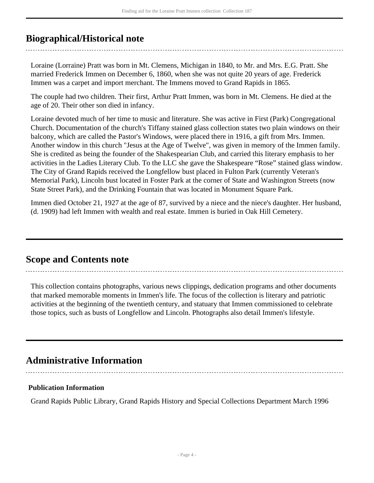## <span id="page-3-0"></span>**Biographical/Historical note**

Loraine (Lorraine) Pratt was born in Mt. Clemens, Michigan in 1840, to Mr. and Mrs. E.G. Pratt. She married Frederick Immen on December 6, 1860, when she was not quite 20 years of age. Frederick Immen was a carpet and import merchant. The Immens moved to Grand Rapids in 1865.

The couple had two children. Their first, Arthur Pratt Immen, was born in Mt. Clemens. He died at the age of 20. Their other son died in infancy.

Loraine devoted much of her time to music and literature. She was active in First (Park) Congregational Church. Documentation of the church's Tiffany stained glass collection states two plain windows on their balcony, which are called the Pastor's Windows, were placed there in 1916, a gift from Mrs. Immen. Another window in this church "Jesus at the Age of Twelve", was given in memory of the Immen family. She is credited as being the founder of the Shakespearian Club, and carried this literary emphasis to her activities in the Ladies Literary Club. To the LLC she gave the Shakespeare "Rose" stained glass window. The City of Grand Rapids received the Longfellow bust placed in Fulton Park (currently Veteran's Memorial Park), Lincoln bust located in Foster Park at the corner of State and Washington Streets (now State Street Park), and the Drinking Fountain that was located in Monument Square Park.

Immen died October 21, 1927 at the age of 87, survived by a niece and the niece's daughter. Her husband, (d. 1909) had left Immen with wealth and real estate. Immen is buried in Oak Hill Cemetery.

## <span id="page-3-1"></span>**Scope and Contents note**

This collection contains photographs, various news clippings, dedication programs and other documents that marked memorable moments in Immen's life. The focus of the collection is literary and patriotic activities at the beginning of the twentieth century, and statuary that Immen commissioned to celebrate those topics, such as busts of Longfellow and Lincoln. Photographs also detail Immen's lifestyle.

## <span id="page-3-2"></span>**Administrative Information**

#### **Publication Information**

Grand Rapids Public Library, Grand Rapids History and Special Collections Department March 1996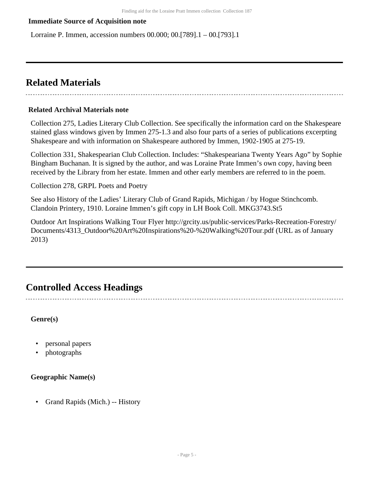#### **Immediate Source of Acquisition note**

Lorraine P. Immen, accession numbers 00.000; 00.[789].1 – 00.[793].1

## <span id="page-4-0"></span>**Related Materials**

#### **Related Archival Materials note**

Collection 275, Ladies Literary Club Collection. See specifically the information card on the Shakespeare stained glass windows given by Immen 275-1.3 and also four parts of a series of publications excerpting Shakespeare and with information on Shakespeare authored by Immen, 1902-1905 at 275-19.

Collection 331, Shakespearian Club Collection. Includes: "Shakespeariana Twenty Years Ago" by Sophie Bingham Buchanan. It is signed by the author, and was Loraine Prate Immen's own copy, having been received by the Library from her estate. Immen and other early members are referred to in the poem.

Collection 278, GRPL Poets and Poetry

See also History of the Ladies' Literary Club of Grand Rapids, Michigan / by Hogue Stinchcomb. Clandoin Printery, 1910. Loraine Immen's gift copy in LH Book Coll. MKG3743.St5

Outdoor Art Inspirations Walking Tour Flyer http://grcity.us/public-services/Parks-Recreation-Forestry/ Documents/4313\_Outdoor%20Art%20Inspirations%20-%20Walking%20Tour.pdf (URL as of January 2013)

## <span id="page-4-1"></span>**Controlled Access Headings**

**Genre(s)**

- personal papers
- photographs

#### **Geographic Name(s)**

• Grand Rapids (Mich.) -- History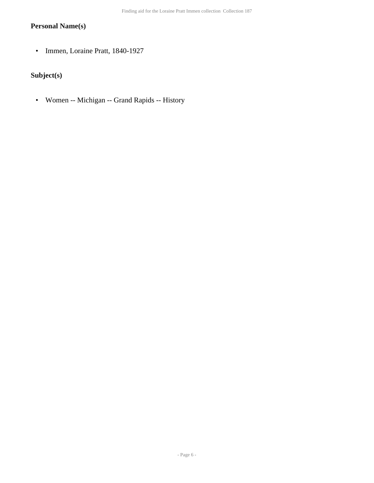#### **Personal Name(s)**

• Immen, Loraine Pratt, 1840-1927

### **Subject(s)**

• Women -- Michigan -- Grand Rapids -- History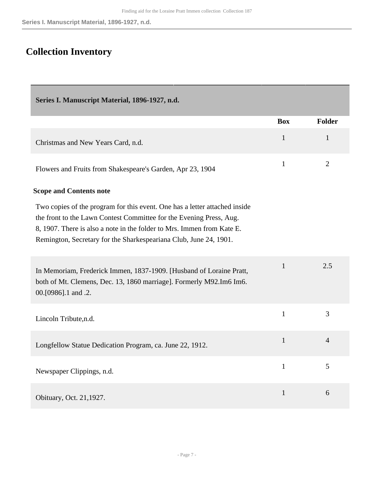# <span id="page-6-0"></span>**Collection Inventory**

<span id="page-6-1"></span>

| Series I. Manuscript Material, 1896-1927, n.d.                                                                                                                                                                                                                                                   |              |                |
|--------------------------------------------------------------------------------------------------------------------------------------------------------------------------------------------------------------------------------------------------------------------------------------------------|--------------|----------------|
|                                                                                                                                                                                                                                                                                                  | <b>Box</b>   | <b>Folder</b>  |
| Christmas and New Years Card, n.d.                                                                                                                                                                                                                                                               | $\mathbf{1}$ | $\mathbf{1}$   |
| Flowers and Fruits from Shakespeare's Garden, Apr 23, 1904                                                                                                                                                                                                                                       | $\mathbf{1}$ | $\overline{2}$ |
| <b>Scope and Contents note</b>                                                                                                                                                                                                                                                                   |              |                |
| Two copies of the program for this event. One has a letter attached inside<br>the front to the Lawn Contest Committee for the Evening Press, Aug.<br>8, 1907. There is also a note in the folder to Mrs. Immen from Kate E.<br>Remington, Secretary for the Sharkespeariana Club, June 24, 1901. |              |                |
| In Memoriam, Frederick Immen, 1837-1909. [Husband of Loraine Pratt,<br>both of Mt. Clemens, Dec. 13, 1860 marriage]. Formerly M92.Im6 Im6.<br>00.[0986].1 and .2.                                                                                                                                | $\mathbf{1}$ | 2.5            |
| Lincoln Tribute, n.d.                                                                                                                                                                                                                                                                            | $\mathbf{1}$ | 3              |
| Longfellow Statue Dedication Program, ca. June 22, 1912.                                                                                                                                                                                                                                         | $\mathbf{1}$ | $\overline{4}$ |
| Newspaper Clippings, n.d.                                                                                                                                                                                                                                                                        | $\mathbf{1}$ | 5              |
| Obituary, Oct. 21,1927.                                                                                                                                                                                                                                                                          | $\mathbf{1}$ | 6              |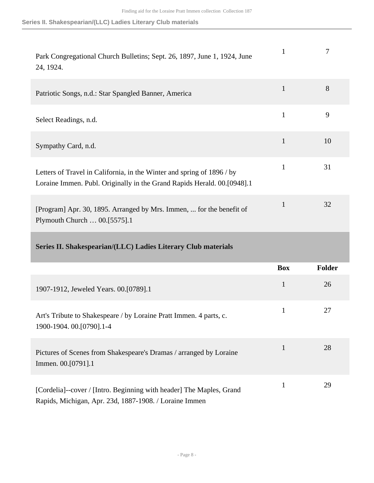<span id="page-7-0"></span>

| Park Congregational Church Bulletins; Sept. 26, 1897, June 1, 1924, June<br>24, 1924.                                                             | $\mathbf{1}$ | $\overline{7}$ |
|---------------------------------------------------------------------------------------------------------------------------------------------------|--------------|----------------|
| Patriotic Songs, n.d.: Star Spangled Banner, America                                                                                              | $\mathbf{1}$ | 8              |
| Select Readings, n.d.                                                                                                                             | $\mathbf{1}$ | 9              |
| Sympathy Card, n.d.                                                                                                                               | $\mathbf{1}$ | 10             |
| Letters of Travel in California, in the Winter and spring of 1896 / by<br>Loraine Immen. Publ. Originally in the Grand Rapids Herald. 00.[0948].1 | $\mathbf{1}$ | 31             |
| [Program] Apr. 30, 1895. Arranged by Mrs. Immen,  for the benefit of<br>Plymouth Church  00.[5575].1                                              | $\mathbf{1}$ | 32             |
| Series II. Shakespearian/(LLC) Ladies Literary Club materials                                                                                     |              |                |
|                                                                                                                                                   | <b>Box</b>   | <b>Folder</b>  |
|                                                                                                                                                   |              |                |
| 1907-1912, Jeweled Years. 00.[0789].1                                                                                                             | $\mathbf{1}$ | 26             |
| Art's Tribute to Shakespeare / by Loraine Pratt Immen. 4 parts, c.<br>1900-1904. 00. [0790]. 1-4                                                  | $\mathbf{1}$ | 27             |
| Pictures of Scenes from Shakespeare's Dramas / arranged by Loraine<br>Immen. 00.[0791].1                                                          | $\mathbf{1}$ | 28             |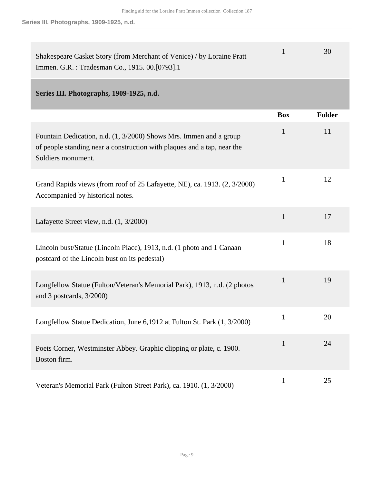<span id="page-8-0"></span>

| Shakespeare Casket Story (from Merchant of Venice) / by Loraine Pratt<br>Immen. G.R.: Tradesman Co., 1915. 00.[0793].1                                              | $\mathbf{1}$ | 30     |
|---------------------------------------------------------------------------------------------------------------------------------------------------------------------|--------------|--------|
| Series III. Photographs, 1909-1925, n.d.                                                                                                                            |              |        |
|                                                                                                                                                                     | <b>Box</b>   | Folder |
| Fountain Dedication, n.d. (1, 3/2000) Shows Mrs. Immen and a group<br>of people standing near a construction with plaques and a tap, near the<br>Soldiers monument. | $\mathbf{1}$ | 11     |
| Grand Rapids views (from roof of 25 Lafayette, NE), ca. 1913. (2, 3/2000)<br>Accompanied by historical notes.                                                       | $\mathbf{1}$ | 12     |
| Lafayette Street view, n.d. (1, 3/2000)                                                                                                                             | $\mathbf{1}$ | 17     |
| Lincoln bust/Statue (Lincoln Place), 1913, n.d. (1 photo and 1 Canaan<br>postcard of the Lincoln bust on its pedestal)                                              | $\mathbf{1}$ | 18     |
| Longfellow Statue (Fulton/Veteran's Memorial Park), 1913, n.d. (2 photos<br>and 3 postcards, 3/2000)                                                                | $\mathbf{1}$ | 19     |
| Longfellow Statue Dedication, June 6,1912 at Fulton St. Park (1, 3/2000)                                                                                            | $\mathbf{1}$ | 20     |
| Poets Corner, Westminster Abbey. Graphic clipping or plate, c. 1900.<br>Boston firm.                                                                                | $\mathbf{1}$ | 24     |
|                                                                                                                                                                     |              |        |

Veteran's Memorial Park (Fulton Street Park), ca. 1910. (1, 3/2000) 1 25